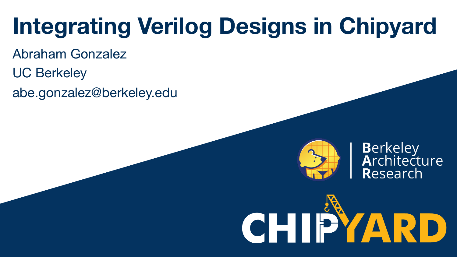# **Integrating Verilog Designs in Chipyard**

- Abraham Gonzalez
- UC Berkeley
- abe.gonzalez@berkeley.edu



**Berkeley<br>Architecture** Research

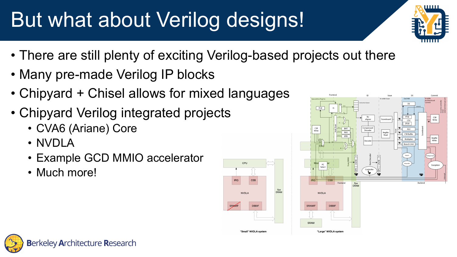# But what about Verilog designs!

- шш
- There are still plenty of exciting Verilog-based projects out there
- Many pre-made Verilog IP blocks
- Chipyard + Chisel allows for mixed languages
- Chipyard Verilog integrated projects
	- CVA6 (Ariane) Core
	- NVDLA
	- Example GCD MMIO accelerator
	- Much more!





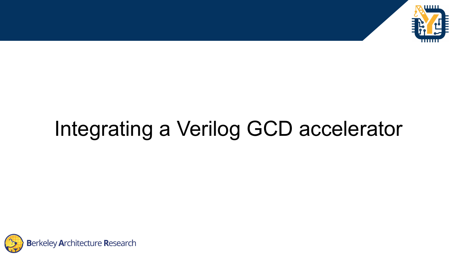

# Integrating a Verilog GCD accelerator

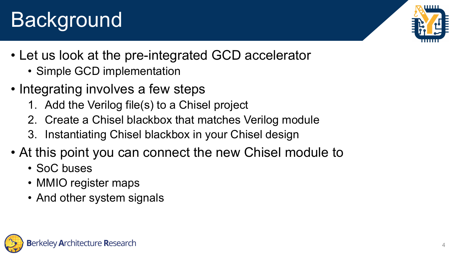# eley Architecture Research

#### 4

## **Background**

- Let us look at the pre-integrated GCD accelerator
	- Simple GCD implementation
- Integrating involves a few steps
	- 1. Add the Verilog file(s) to a Chisel project
	- 2. Create a Chisel blackbox that matches Verilog module
	- 3. Instantiating Chisel blackbox in your Chisel design
- At this point you can connect the new Chisel module to
	- SoC buses
	- MMIO register maps
	- And other system signals

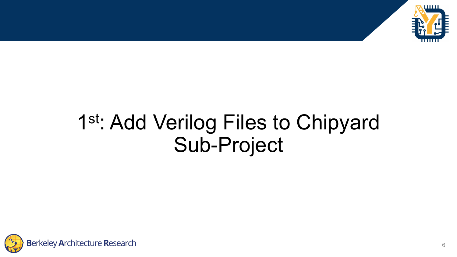

#### 1st: Add Verilog Files to Chipyard Sub-Project

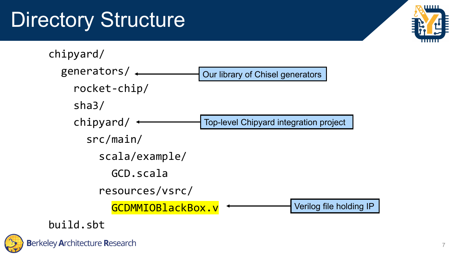# Directory Structure



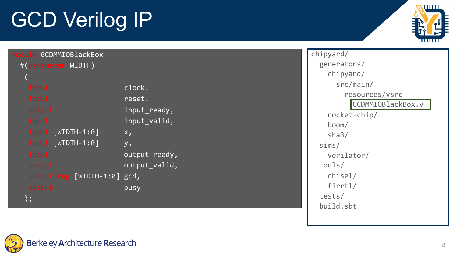# GCD Verilog IP



| module GCDMMIOBlackBox      |                | chipyard/                |
|-----------------------------|----------------|--------------------------|
| #(parameter WIDTH)          |                | generators               |
|                             |                | chipyard                 |
| input                       | clock,         | src/ma                   |
| input                       | reset,         | reso                     |
| output                      | input_ready,   | $\overline{\mathsf{GC}}$ |
| input                       | input_valid,   | rocket-c                 |
| input [WIDTH-1:0]           | $X_{\lambda}$  | boom/                    |
| input [WIDTH-1:0]           |                | sha3/                    |
|                             | y <sub>2</sub> | sims/                    |
| input                       | output_ready,  | verilato                 |
| output                      | output valid,  | tools/                   |
| output reg [WIDTH-1:0] gcd, |                | chisel/                  |
| output                      | busy           | firrtl/                  |
| ) ;                         |                | tests/                   |
|                             |                |                          |

generators/ /  $\sin/$ urces/vsrc DMMIOBlackBox.v  $\text{hip}/$ verilator / build.sbt

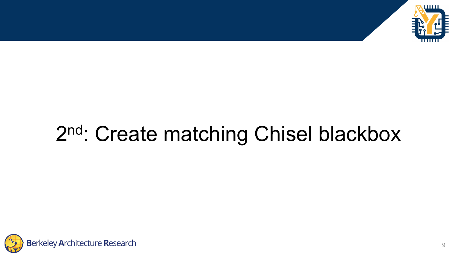

## 2<sup>nd</sup>: Create matching Chisel blackbox

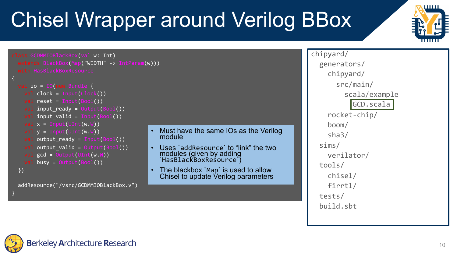# **Berkeley Architecture Research**

}

## Chisel Wrapper around Verilog BBox



```
val io = IO(new Bundle {
 val clock = Input(Clock())
 val reset = Input(Bool())val input ready = Output(Bool())val input_valid = Input(Bool())
  val x = Input(UInt(w.W))val y = Input(UInt(w.W))val output_ready = Input(Bool())
 val output valid = Output(Boo1())val gcd = Output(UInt(W.W))val busy = Output(Bool())})
addResource("/vsrc/GCDMMIOBlackBox.v")
```
- Must have the same IOs as the Verilog module
- Uses `addResource` to "link" the two modules (given by adding `HasBlackBoxResource`)
- The blackbox `Map` is used to allow Chisel to update Verilog parameters

chipyard/ generators/ chipyard/ src/main/ scala/example GCD.scala rocket-chip/ boom/ sha3/ sims/ verilator/ tools/ chisel/ firrtl/ tests/ build.sbt

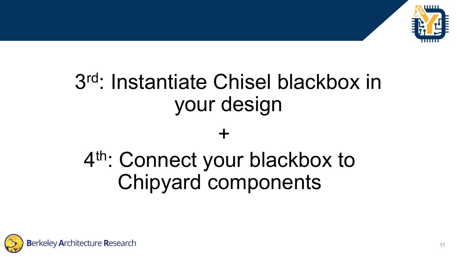

## 3rd: Instantiate Chisel blackbox in your design

#### +

## 4<sup>th</sup>: Connect your blackbox to Chipyard components

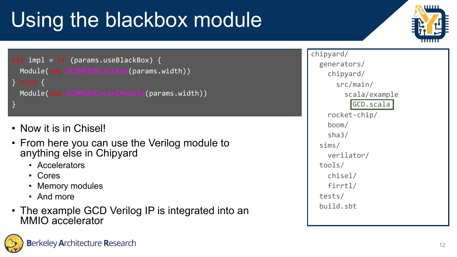# Using the blackbox module



val impl = if (params.useBlackBox) { Module(new GCDMMIOBlackBox(params.width)) } else { Module(new GCDMMIOChiselModule(params.width)) }

- Now it is in Chisel!
- From here you can use the Verilog module to anything else in Chipyard
	- Accelerators
	- Cores
	- Memory modules
	- And more
- The example GCD Verilog IP is integrated into an MMIO accelerator

chipyard/ generators/ chipyard/ src/main/ scala/example GCD.scala rocket-chip/ boom/ sha3/ sims/ verilator/ tools/ chisel/ firrtl/ tests/ build.sbt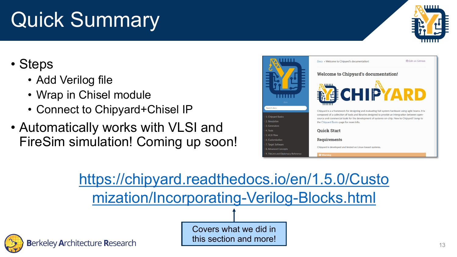## Quick Summary

#### • Steps

- Add Ver[ilog file](https://chipyard.readthedocs.io/en/1.5.0/Customization/Incorporating-Verilog-Blocks.html)
- Wrap in Chisel module
- Connect to Chipyard+Chisel IP
- Automatically works with VLSI and FireSim simulation! Coming up soon!



https://chipyard.readthedocs.io/ mization/Incorporating-Verilog



Covers what we did in this section and more!